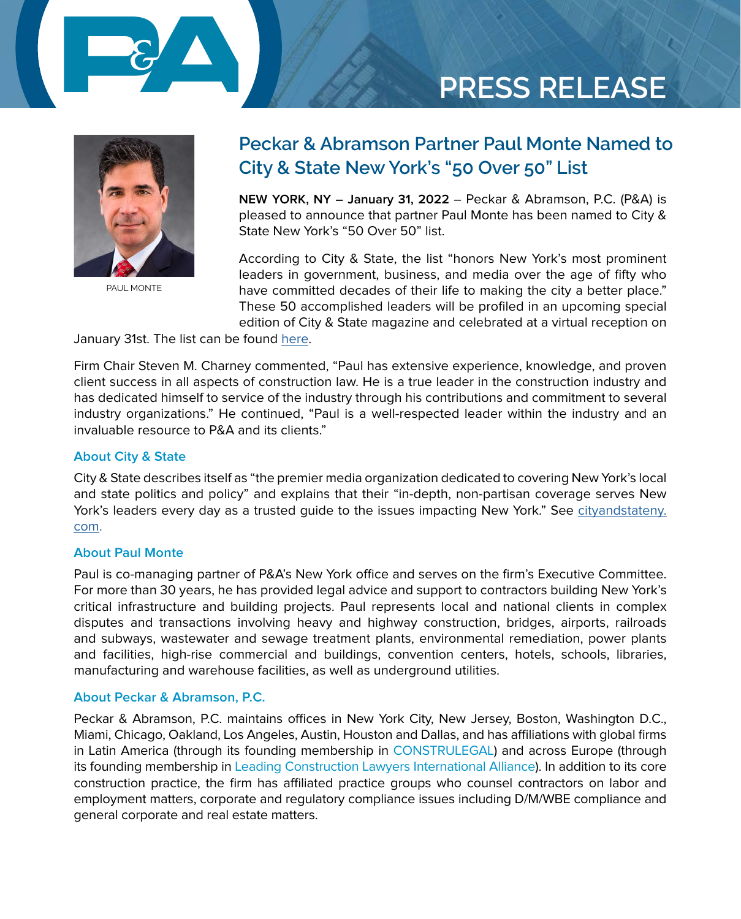

# **PRESS RELEASE**



[PAUL MONTE](https://www.pecklaw.com/attorney/paul-monte/)

### **Peckar & Abramson Partner Paul Monte Named to City & State New York's "50 Over 50" List**

**NEW YORK, NY – January 31, 2022** – Peckar & Abramson, P.C. (P&A) is pleased to announce that partner Paul Monte has been named to City & State New York's "50 Over 50" list.

According to City & State, the list "honors New York's most prominent leaders in government, business, and media over the age of fifty who have committed decades of their life to making the city a better place." These 50 accomplished leaders will be profiled in an upcoming special edition of City & State magazine and celebrated at a virtual reception on

January 31st. The list can be found [here](https://www.cityandstateny.com/power-lists/2022/01/2022-50-over-50/361314/).

Firm Chair Steven M. Charney commented, "Paul has extensive experience, knowledge, and proven client success in all aspects of construction law. He is a true leader in the construction industry and has dedicated himself to service of the industry through his contributions and commitment to several industry organizations." He continued, "Paul is a well-respected leader within the industry and an invaluable resource to P&A and its clients."

#### **About City & State**

City & State describes itself as "the premier media organization dedicated to covering New York's local and state politics and policy" and explains that their "in-depth, non-partisan coverage serves New York's leaders every day as a trusted guide to the issues impacting New York." See [cityandstateny.](http://cityandstateny.com) [com](http://cityandstateny.com).

#### **About Paul Monte**

Paul is co-managing partner of P&A's New York office and serves on the firm's Executive Committee. For more than 30 years, he has provided legal advice and support to contractors building New York's critical infrastructure and building projects. Paul represents local and national clients in complex disputes and transactions involving heavy and highway construction, bridges, airports, railroads and subways, wastewater and sewage treatment plants, environmental remediation, power plants and facilities, high-rise commercial and buildings, convention centers, hotels, schools, libraries, manufacturing and warehouse facilities, as well as underground utilities.

#### **About Peckar & Abramson, P.C.**

Peckar & Abramson, P.C. maintains offices in New York City, New Jersey, Boston, Washington D.C., Miami, Chicago, Oakland, Los Angeles, Austin, Houston and Dallas, and has affiliations with global firms in Latin America (through its founding membership in [CONSTRULEGAL](https://www.construlegal.com/)) and across Europe (through its founding membership in [Leading Construction Lawyers International Alliance\)](https://lclalliance.com/). In addition to its core construction practice, the firm has affiliated practice groups who counsel contractors on labor and employment matters, corporate and regulatory compliance issues including D/M/WBE compliance and general corporate and real estate matters.